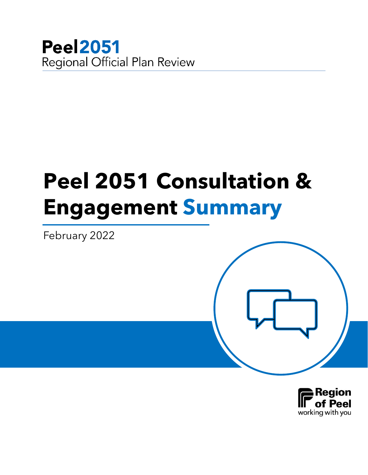

# **Peel 2051 Consultation & Engagement Summary**

February 2022

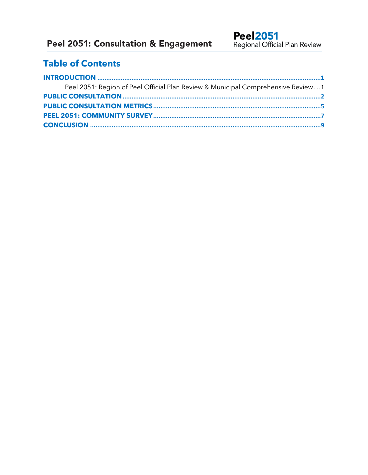## **Table of Contents**

| Peel 2051: Region of Peel Official Plan Review & Municipal Comprehensive Review1 |  |
|----------------------------------------------------------------------------------|--|
|                                                                                  |  |
|                                                                                  |  |
|                                                                                  |  |
|                                                                                  |  |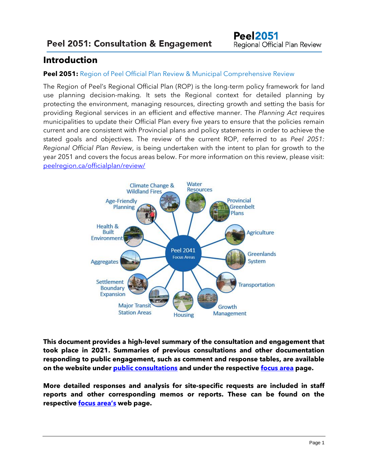## <span id="page-2-0"></span>**Introduction**

#### <span id="page-2-1"></span>**Peel 2051:** Region of Peel Official Plan Review & Municipal Comprehensive Review

The Region of Peel's Regional Official Plan (ROP) is the long-term policy framework for land use planning decision-making. It sets the Regional context for detailed planning by protecting the environment, managing resources, directing growth and setting the basis for providing Regional services in an efficient and effective manner. The *Planning Act* requires municipalities to update their Official Plan every five years to ensure that the policies remain current and are consistent with Provincial plans and policy statements in order to achieve the stated goals and objectives. The review of the current ROP, referred to as *Peel 2051: Regional Official Plan Review*, is being undertaken with the intent to plan for growth to the year 2051 and covers the focus areas below. For more information on this review, please visit: [peelregion.ca/officialplan/review/](https://peelregion.ca/officialplan/review/)



**This document provides a high-level summary of the consultation and engagement that took place in 2021. Summaries of previous consultations and other documentation responding to public engagement, such as comment and response tables, are available on the website under [public consultations](https://peelregion.ca/officialplan/review/fall-consultation.asp) and under the respective [focus area](https://peelregion.ca/officialplan/review/focus-areas/) page.**

**More detailed responses and analysis for site-specific requests are included in staff reports and other corresponding memos or reports. These can be found on the respective [focus area's](https://peelregion.ca/officialplan/review/focus-areas/) web page.**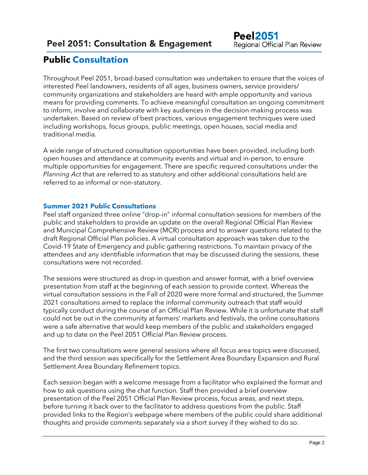## <span id="page-3-0"></span>**Public Consultation**

Throughout Peel 2051, broad-based consultation was undertaken to ensure that the voices of interested Peel landowners, residents of all ages, business owners, service providers/ community organizations and stakeholders are heard with ample opportunity and various means for providing comments. To achieve meaningful consultation an ongoing commitment to inform, involve and collaborate with key audiences in the decision-making process was undertaken. Based on review of best practices, various engagement techniques were used including workshops, focus groups, public meetings, open houses, social media and traditional media.

A wide range of structured consultation opportunities have been provided, including both open houses and attendance at community events and virtual and in-person, to ensure multiple opportunities for engagement. There are specific required consultations under the *Planning Act* that are referred to as statutory and other additional consultations held are referred to as informal or non-statutory.

#### **Summer 2021 Public Consultations**

Peel staff organized three online "drop-in" informal consultation sessions for members of the public and stakeholders to provide an update on the overall Regional Official Plan Review and Municipal Comprehensive Review (MCR) process and to answer questions related to the draft Regional Official Plan policies. A virtual consultation approach was taken due to the Covid-19 State of Emergency and public gathering restrictions. To maintain privacy of the attendees and any identifiable information that may be discussed during the sessions, these consultations were not recorded.

The sessions were structured as drop-in question and answer format, with a brief overview presentation from staff at the beginning of each session to provide context. Whereas the virtual consultation sessions in the Fall of 2020 were more formal and structured, the Summer 2021 consultations aimed to replace the informal community outreach that staff would typically conduct during the course of an Official Plan Review. While it is unfortunate that staff could not be out in the community at farmers' markets and festivals, the online consultations were a safe alternative that would keep members of the public and stakeholders engaged and up to date on the Peel 2051 Official Plan Review process.

The first two consultations were general sessions where all focus area topics were discussed, and the third session was specifically for the Settlement Area Boundary Expansion and Rural Settlement Area Boundary Refinement topics.

Each session began with a welcome message from a facilitator who explained the format and how to ask questions using the chat function. Staff then provided a brief overview presentation of the Peel 2051 Official Plan Review process, focus areas, and next steps, before turning it back over to the facilitator to address questions from the public. Staff provided links to the Region's webpage where members of the public could share additional thoughts and provide comments separately via a short survey if they wished to do so.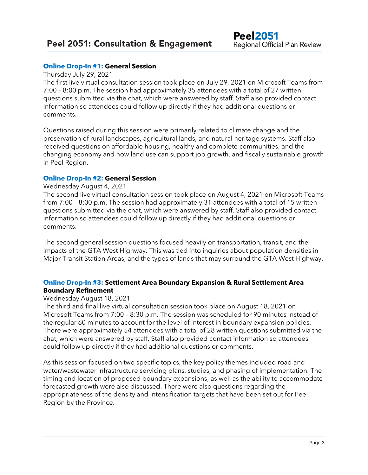#### **Online Drop-In #1: General Session**

Thursday July 29, 2021

The first live virtual consultation session took place on July 29, 2021 on Microsoft Teams from 7:00 – 8:00 p.m. The session had approximately 35 attendees with a total of 27 written questions submitted via the chat, which were answered by staff. Staff also provided contact information so attendees could follow up directly if they had additional questions or comments.

Questions raised during this session were primarily related to climate change and the preservation of rural landscapes, agricultural lands, and natural heritage systems. Staff also received questions on affordable housing, healthy and complete communities, and the changing economy and how land use can support job growth, and fiscally sustainable growth in Peel Region.

#### **Online Drop-In #2: General Session**

#### Wednesday August 4, 2021

The second live virtual consultation session took place on August 4, 2021 on Microsoft Teams from 7:00 – 8:00 p.m. The session had approximately 31 attendees with a total of 15 written questions submitted via the chat, which were answered by staff. Staff also provided contact information so attendees could follow up directly if they had additional questions or comments.

The second general session questions focused heavily on transportation, transit, and the impacts of the GTA West Highway. This was tied into inquiries about population densities in Major Transit Station Areas, and the types of lands that may surround the GTA West Highway.

#### **Online Drop-In #3: Settlement Area Boundary Expansion & Rural Settlement Area Boundary Refinement**

#### Wednesday August 18, 2021

The third and final live virtual consultation session took place on August 18, 2021 on Microsoft Teams from 7:00 – 8:30 p.m. The session was scheduled for 90 minutes instead of the regular 60 minutes to account for the level of interest in boundary expansion policies. There were approximately 54 attendees with a total of 28 written questions submitted via the chat, which were answered by staff. Staff also provided contact information so attendees could follow up directly if they had additional questions or comments.

As this session focused on two specific topics, the key policy themes included road and water/wastewater infrastructure servicing plans, studies, and phasing of implementation. The timing and location of proposed boundary expansions, as well as the ability to accommodate forecasted growth were also discussed. There were also questions regarding the appropriateness of the density and intensification targets that have been set out for Peel Region by the Province.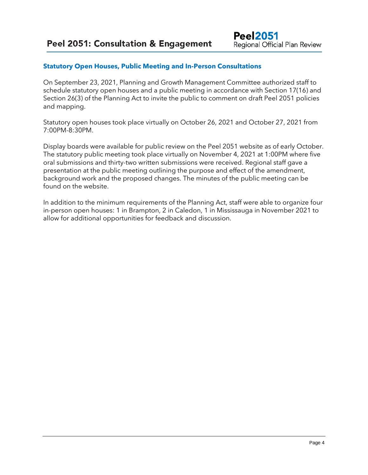#### **Statutory Open Houses, Public Meeting and In-Person Consultations**

On September 23, 2021, Planning and Growth Management Committee authorized staff to schedule statutory open houses and a public meeting in accordance with Section 17(16) and Section 26(3) of the Planning Act to invite the public to comment on draft Peel 2051 policies and mapping.

Statutory open houses took place virtually on October 26, 2021 and October 27, 2021 from 7:00PM-8:30PM.

Display boards were available for public review on the Peel 2051 website as of early October. The statutory public meeting took place virtually on November 4, 2021 at 1:00PM where five oral submissions and thirty-two written submissions were received. Regional staff gave a presentation at the public meeting outlining the purpose and effect of the amendment, background work and the proposed changes. The minutes of the public meeting can be found on the website.

In addition to the minimum requirements of the Planning Act, staff were able to organize four in-person open houses: 1 in Brampton, 2 in Caledon, 1 in Mississauga in November 2021 to allow for additional opportunities for feedback and discussion.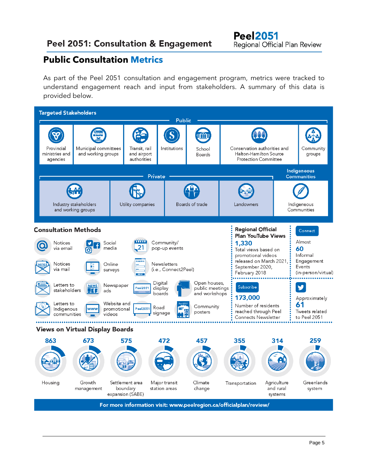## **Peel 2051: Consultation & Engagement**

## <span id="page-6-0"></span>**Public Consultation Metrics**

As part of the Peel 2051 consultation and engagement program, metrics were tracked to understand engagement reach and input from stakeholders. A summary of this data is provided below.

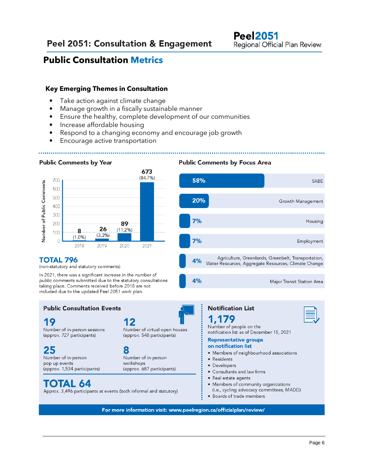## **Public Consultation Metrics**

#### **Key Emerging Themes in Consultation**

- Take action against climate change
- Manage growth in a fiscally sustainable manner
- Ensure the healthy, complete development of our communities
- Increase affordable housing
- Respond to a changing economy and encourage job growth
- Encourage active transportation

#### **Public Comments by Year**



#### **TOTAL 796**

(non-statutory and statutory comments)

In 2021, there was a significant increase in the number of public comments submitted due to the statutory consultations taking place. Comments received before 2018 are not included due to the updated Peel 2051 work plan.

#### **Public Consultation Events**

#### 19

Number of in-person sessions (approx. 727 participants)

### 25

Number of in-person pop up events (approx. 1,534 participants)

12 Number of virtual open houses

# 8

workshops (approx. 687 participants)

## **TOTAL 64**

Approx. 3,496 participants at events (both informal and statutory)

#### **Public Comments by Focus Area**





For more information visit: www.peelregion.ca/officialplan/review/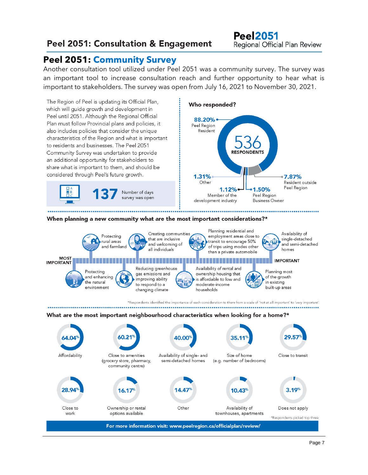## Peel 2051: Consultation & Engagement

## <span id="page-8-0"></span>**Peel 2051: Community Survey**

Another consultation tool utilized under Peel 2051 was a community survey. The survey was an important tool to increase consultation reach and further opportunity to hear what is important to stakeholders. The survey was open from July 16, 2021 to November 30, 2021.

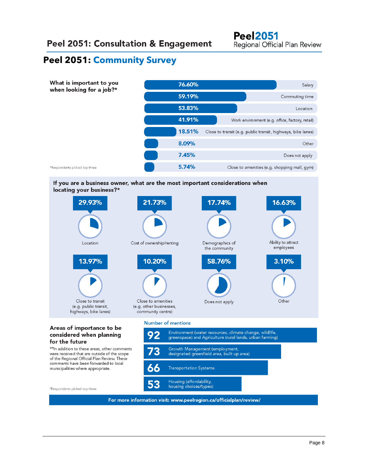## **Peel 2051: Community Survey**



If you are a business owner, what are the most important considerations when locating your business?\*